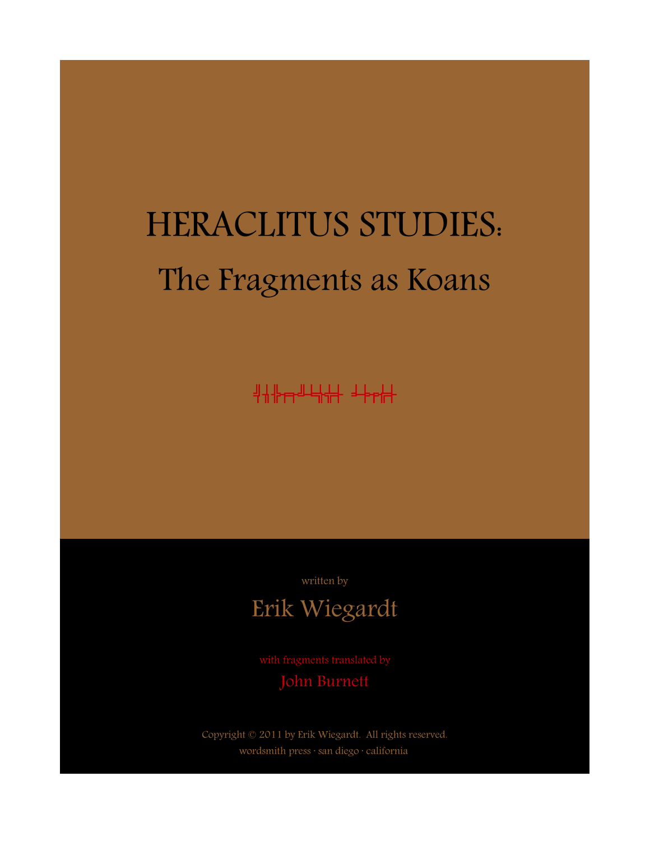# HERACLITUS STUDIES: The Fragments as Koans

heraclitus koans

written by

# Erik Wiegardt

John Burnett

Copyright © 2011 by Erik Wiegardt. All rights reserved. wordsmith press · san diego · california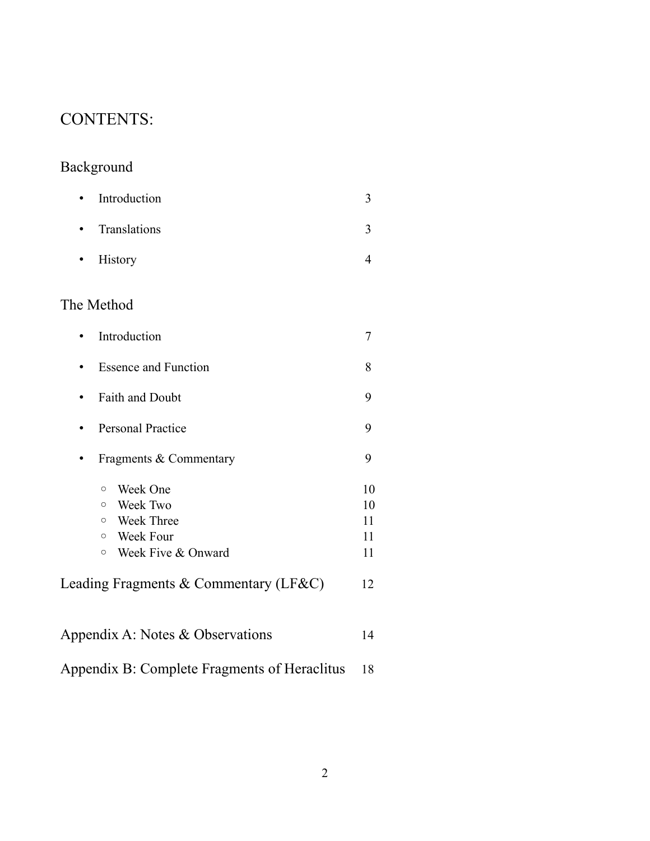# CONTENTS:

# Background

| • Introduction |  |
|----------------|--|
| • Translations |  |
| • History      |  |

# The Method

| Introduction                          | 7  |  |
|---------------------------------------|----|--|
| <b>Essence and Function</b>           |    |  |
| <b>Faith and Doubt</b>                |    |  |
| <b>Personal Practice</b>              |    |  |
| Fragments & Commentary                |    |  |
| Week One<br>$\circ$                   | 10 |  |
| Week Two<br>$\circ$                   | 10 |  |
| Week Three<br>$\circ$                 | 11 |  |
| Week Four<br>$\circ$                  | 11 |  |
| Week Five & Onward<br>$\circ$         | 11 |  |
| Leading Fragments & Commentary (LF&C) |    |  |
| Appendix A: Notes & Observations      |    |  |

| Appendix B: Complete Fragments of Heraclitus 18 |  |
|-------------------------------------------------|--|
|                                                 |  |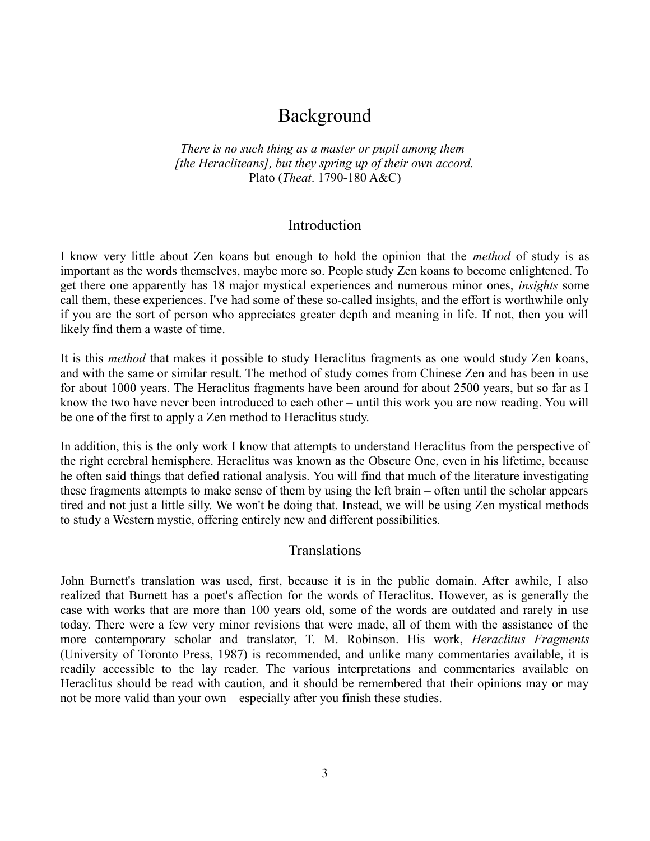# Background

*There is no such thing as a master or pupil among them [the Heracliteans], but they spring up of their own accord.* Plato (*Theat*. 1790-180 A&C)

#### Introduction

I know very little about Zen koans but enough to hold the opinion that the *method* of study is as important as the words themselves, maybe more so. People study Zen koans to become enlightened. To get there one apparently has 18 major mystical experiences and numerous minor ones, *insights* some call them, these experiences. I've had some of these so-called insights, and the effort is worthwhile only if you are the sort of person who appreciates greater depth and meaning in life. If not, then you will likely find them a waste of time.

It is this *method* that makes it possible to study Heraclitus fragments as one would study Zen koans, and with the same or similar result. The method of study comes from Chinese Zen and has been in use for about 1000 years. The Heraclitus fragments have been around for about 2500 years, but so far as I know the two have never been introduced to each other – until this work you are now reading. You will be one of the first to apply a Zen method to Heraclitus study.

In addition, this is the only work I know that attempts to understand Heraclitus from the perspective of the right cerebral hemisphere. Heraclitus was known as the Obscure One, even in his lifetime, because he often said things that defied rational analysis. You will find that much of the literature investigating these fragments attempts to make sense of them by using the left brain – often until the scholar appears tired and not just a little silly. We won't be doing that. Instead, we will be using Zen mystical methods to study a Western mystic, offering entirely new and different possibilities.

#### Translations

John Burnett's translation was used, first, because it is in the public domain. After awhile, I also realized that Burnett has a poet's affection for the words of Heraclitus. However, as is generally the case with works that are more than 100 years old, some of the words are outdated and rarely in use today. There were a few very minor revisions that were made, all of them with the assistance of the more contemporary scholar and translator, T. M. Robinson. His work, *Heraclitus Fragments* (University of Toronto Press, 1987) is recommended, and unlike many commentaries available, it is readily accessible to the lay reader. The various interpretations and commentaries available on Heraclitus should be read with caution, and it should be remembered that their opinions may or may not be more valid than your own – especially after you finish these studies.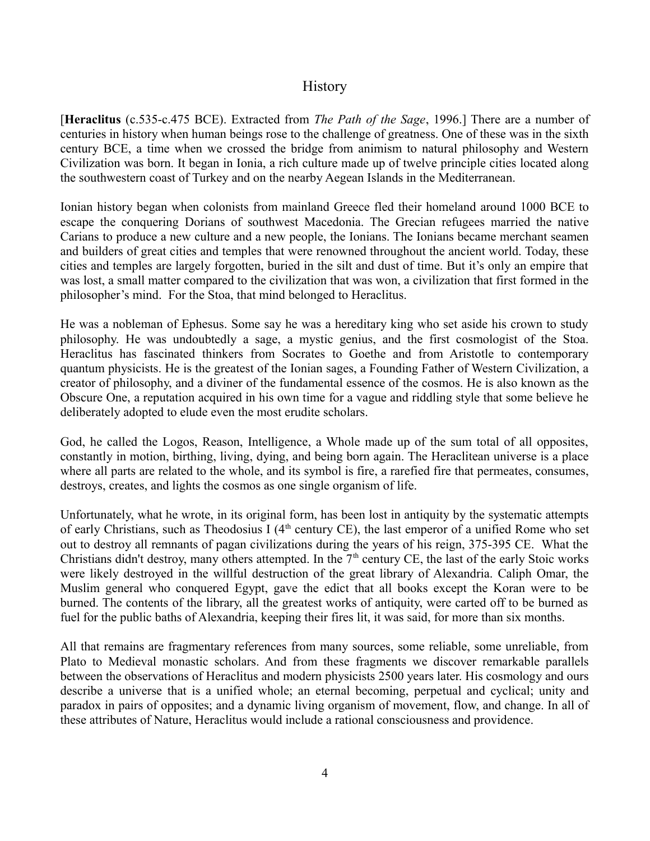#### **History**

[**Heraclitus** (c.535-c.475 BCE). Extracted from *The Path of the Sage*, 1996.] There are a number of centuries in history when human beings rose to the challenge of greatness. One of these was in the sixth century BCE, a time when we crossed the bridge from animism to natural philosophy and Western Civilization was born. It began in Ionia, a rich culture made up of twelve principle cities located along the southwestern coast of Turkey and on the nearby Aegean Islands in the Mediterranean.

Ionian history began when colonists from mainland Greece fled their homeland around 1000 BCE to escape the conquering Dorians of southwest Macedonia. The Grecian refugees married the native Carians to produce a new culture and a new people, the Ionians. The Ionians became merchant seamen and builders of great cities and temples that were renowned throughout the ancient world. Today, these cities and temples are largely forgotten, buried in the silt and dust of time. But it's only an empire that was lost, a small matter compared to the civilization that was won, a civilization that first formed in the philosopher's mind. For the Stoa, that mind belonged to Heraclitus.

He was a nobleman of Ephesus. Some say he was a hereditary king who set aside his crown to study philosophy. He was undoubtedly a sage, a mystic genius, and the first cosmologist of the Stoa. Heraclitus has fascinated thinkers from Socrates to Goethe and from Aristotle to contemporary quantum physicists. He is the greatest of the Ionian sages, a Founding Father of Western Civilization, a creator of philosophy, and a diviner of the fundamental essence of the cosmos. He is also known as the Obscure One, a reputation acquired in his own time for a vague and riddling style that some believe he deliberately adopted to elude even the most erudite scholars.

God, he called the Logos, Reason, Intelligence, a Whole made up of the sum total of all opposites, constantly in motion, birthing, living, dying, and being born again. The Heraclitean universe is a place where all parts are related to the whole, and its symbol is fire, a rarefied fire that permeates, consumes, destroys, creates, and lights the cosmos as one single organism of life.

Unfortunately, what he wrote, in its original form, has been lost in antiquity by the systematic attempts of early Christians, such as Theodosius I ( $4<sup>th</sup>$  century CE), the last emperor of a unified Rome who set out to destroy all remnants of pagan civilizations during the years of his reign, 375-395 CE. What the Christians didn't destroy, many others attempted. In the  $7<sup>th</sup>$  century CE, the last of the early Stoic works were likely destroyed in the willful destruction of the great library of Alexandria. Caliph Omar, the Muslim general who conquered Egypt, gave the edict that all books except the Koran were to be burned. The contents of the library, all the greatest works of antiquity, were carted off to be burned as fuel for the public baths of Alexandria, keeping their fires lit, it was said, for more than six months.

All that remains are fragmentary references from many sources, some reliable, some unreliable, from Plato to Medieval monastic scholars. And from these fragments we discover remarkable parallels between the observations of Heraclitus and modern physicists 2500 years later. His cosmology and ours describe a universe that is a unified whole; an eternal becoming, perpetual and cyclical; unity and paradox in pairs of opposites; and a dynamic living organism of movement, flow, and change. In all of these attributes of Nature, Heraclitus would include a rational consciousness and providence.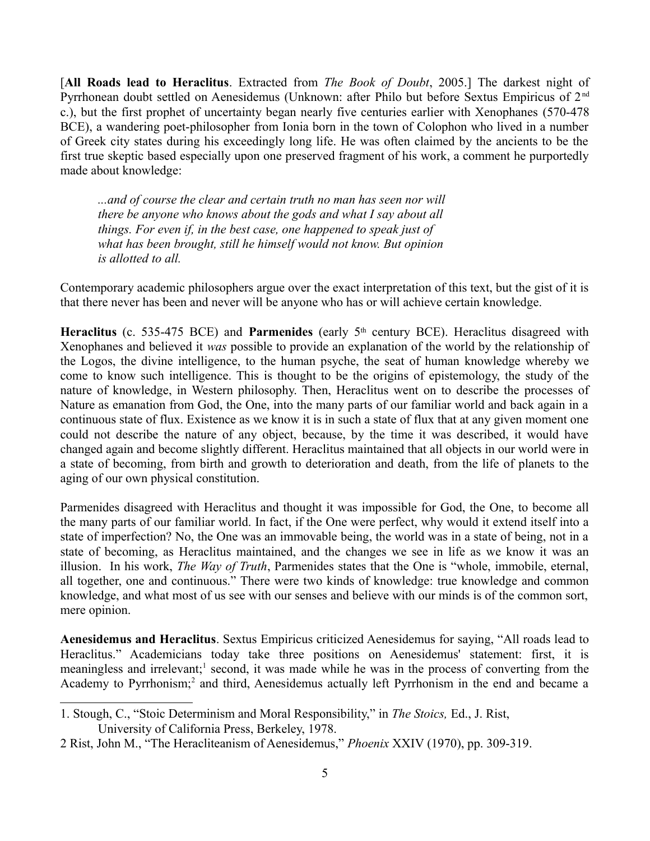[**All Roads lead to Heraclitus**. Extracted from *The Book of Doubt*, 2005.] The darkest night of Pyrrhonean doubt settled on Aenesidemus (Unknown: after Philo but before Sextus Empiricus of 2<sup>nd</sup> c.), but the first prophet of uncertainty began nearly five centuries earlier with Xenophanes (570-478 BCE), a wandering poet-philosopher from Ionia born in the town of Colophon who lived in a number of Greek city states during his exceedingly long life. He was often claimed by the ancients to be the first true skeptic based especially upon one preserved fragment of his work, a comment he purportedly made about knowledge:

*...and of course the clear and certain truth no man has seen nor will there be anyone who knows about the gods and what I say about all things. For even if, in the best case, one happened to speak just of what has been brought, still he himself would not know. But opinion is allotted to all.*

Contemporary academic philosophers argue over the exact interpretation of this text, but the gist of it is that there never has been and never will be anyone who has or will achieve certain knowledge.

**Heraclitus** (c. 535-475 BCE) and **Parmenides** (early 5th century BCE). Heraclitus disagreed with Xenophanes and believed it *was* possible to provide an explanation of the world by the relationship of the Logos, the divine intelligence, to the human psyche, the seat of human knowledge whereby we come to know such intelligence. This is thought to be the origins of epistemology, the study of the nature of knowledge, in Western philosophy. Then, Heraclitus went on to describe the processes of Nature as emanation from God, the One, into the many parts of our familiar world and back again in a continuous state of flux. Existence as we know it is in such a state of flux that at any given moment one could not describe the nature of any object, because, by the time it was described, it would have changed again and become slightly different. Heraclitus maintained that all objects in our world were in a state of becoming, from birth and growth to deterioration and death, from the life of planets to the aging of our own physical constitution.

Parmenides disagreed with Heraclitus and thought it was impossible for God, the One, to become all the many parts of our familiar world. In fact, if the One were perfect, why would it extend itself into a state of imperfection? No, the One was an immovable being, the world was in a state of being, not in a state of becoming, as Heraclitus maintained, and the changes we see in life as we know it was an illusion. In his work, *The Way of Truth*, Parmenides states that the One is "whole, immobile, eternal, all together, one and continuous." There were two kinds of knowledge: true knowledge and common knowledge, and what most of us see with our senses and believe with our minds is of the common sort, mere opinion.

**Aenesidemus and Heraclitus**. Sextus Empiricus criticized Aenesidemus for saying, "All roads lead to Heraclitus." Academicians today take three positions on Aenesidemus' statement: first, it is meaningless and irrelevant;<sup>[1](#page-4-0)</sup> second, it was made while he was in the process of converting from the Academy to Pyrrhonism;<sup>[2](#page-4-1)</sup> and third, Aenesidemus actually left Pyrrhonism in the end and became a

<span id="page-4-0"></span><sup>1.</sup> Stough, C., "Stoic Determinism and Moral Responsibility," in *The Stoics,* Ed., J. Rist, University of California Press, Berkeley, 1978.

<span id="page-4-1"></span><sup>2</sup> Rist, John M., "The Heracliteanism of Aenesidemus," *Phoenix* XXIV (1970), pp. 309-319.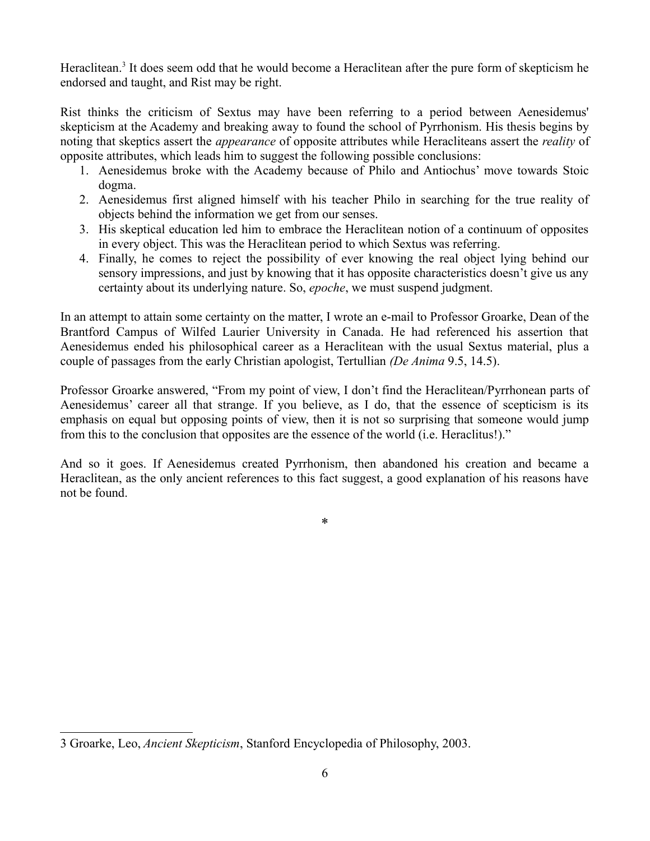Heraclitean.<sup>[3](#page-5-0)</sup> It does seem odd that he would become a Heraclitean after the pure form of skepticism he endorsed and taught, and Rist may be right.

Rist thinks the criticism of Sextus may have been referring to a period between Aenesidemus' skepticism at the Academy and breaking away to found the school of Pyrrhonism. His thesis begins by noting that skeptics assert the *appearance* of opposite attributes while Heracliteans assert the *reality* of opposite attributes, which leads him to suggest the following possible conclusions:

- 1. Aenesidemus broke with the Academy because of Philo and Antiochus' move towards Stoic dogma.
- 2. Aenesidemus first aligned himself with his teacher Philo in searching for the true reality of objects behind the information we get from our senses.
- 3. His skeptical education led him to embrace the Heraclitean notion of a continuum of opposites in every object. This was the Heraclitean period to which Sextus was referring.
- 4. Finally, he comes to reject the possibility of ever knowing the real object lying behind our sensory impressions, and just by knowing that it has opposite characteristics doesn't give us any certainty about its underlying nature. So, *epoche*, we must suspend judgment.

In an attempt to attain some certainty on the matter, I wrote an e-mail to Professor Groarke, Dean of the Brantford Campus of Wilfed Laurier University in Canada. He had referenced his assertion that Aenesidemus ended his philosophical career as a Heraclitean with the usual Sextus material, plus a couple of passages from the early Christian apologist, Tertullian *(De Anima* 9.5, 14.5).

Professor Groarke answered, "From my point of view, I don't find the Heraclitean/Pyrrhonean parts of Aenesidemus' career all that strange. If you believe, as I do, that the essence of scepticism is its emphasis on equal but opposing points of view, then it is not so surprising that someone would jump from this to the conclusion that opposites are the essence of the world (i.e. Heraclitus!)."

And so it goes. If Aenesidemus created Pyrrhonism, then abandoned his creation and became a Heraclitean, as the only ancient references to this fact suggest, a good explanation of his reasons have not be found.

\*

<span id="page-5-0"></span><sup>3</sup> Groarke, Leo, *Ancient Skepticism*, Stanford Encyclopedia of Philosophy, 2003.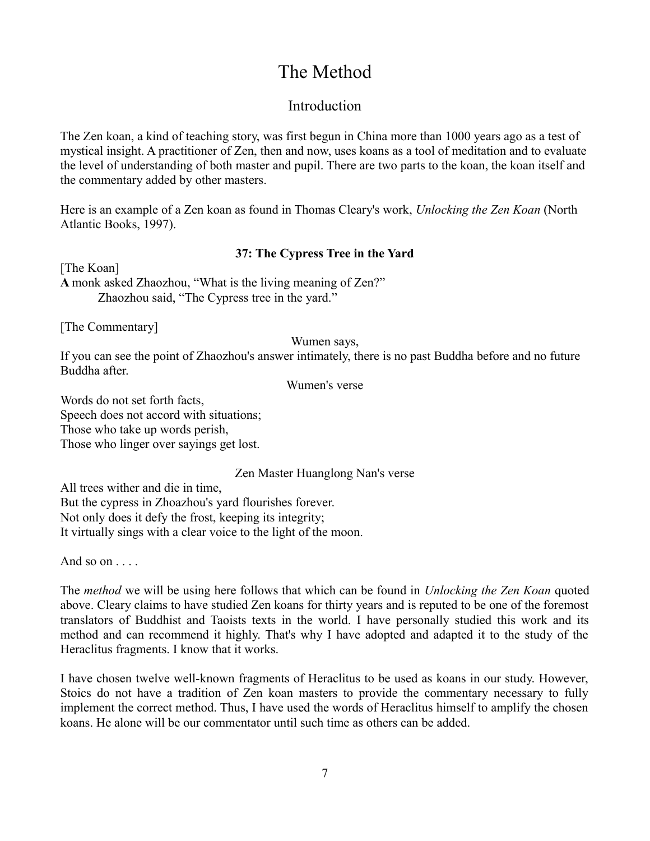# The Method

#### Introduction

The Zen koan, a kind of teaching story, was first begun in China more than 1000 years ago as a test of mystical insight. A practitioner of Zen, then and now, uses koans as a tool of meditation and to evaluate the level of understanding of both master and pupil. There are two parts to the koan, the koan itself and the commentary added by other masters.

Here is an example of a Zen koan as found in Thomas Cleary's work, *Unlocking the Zen Koan* (North Atlantic Books, 1997).

#### **37: The Cypress Tree in the Yard**

[The Koan] **A** monk asked Zhaozhou, "What is the living meaning of Zen?" Zhaozhou said, "The Cypress tree in the yard."

[The Commentary]

Wumen says,

If you can see the point of Zhaozhou's answer intimately, there is no past Buddha before and no future Buddha after.

Wumen's verse

Words do not set forth facts, Speech does not accord with situations; Those who take up words perish, Those who linger over sayings get lost.

Zen Master Huanglong Nan's verse

All trees wither and die in time, But the cypress in Zhoazhou's yard flourishes forever. Not only does it defy the frost, keeping its integrity; It virtually sings with a clear voice to the light of the moon.

And so on . . . .

The *method* we will be using here follows that which can be found in *Unlocking the Zen Koan* quoted above. Cleary claims to have studied Zen koans for thirty years and is reputed to be one of the foremost translators of Buddhist and Taoists texts in the world. I have personally studied this work and its method and can recommend it highly. That's why I have adopted and adapted it to the study of the Heraclitus fragments. I know that it works.

I have chosen twelve well-known fragments of Heraclitus to be used as koans in our study. However, Stoics do not have a tradition of Zen koan masters to provide the commentary necessary to fully implement the correct method. Thus, I have used the words of Heraclitus himself to amplify the chosen koans. He alone will be our commentator until such time as others can be added.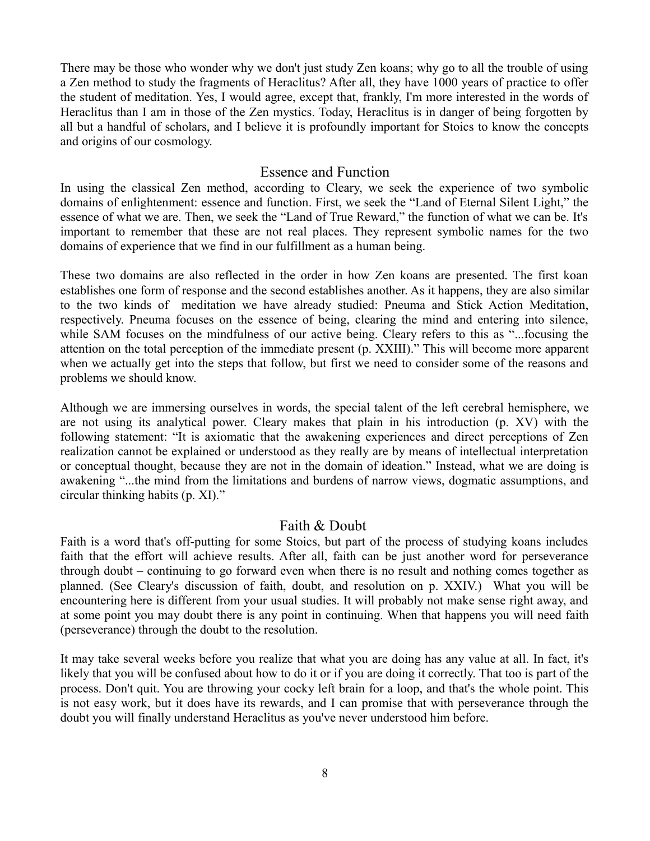There may be those who wonder why we don't just study Zen koans; why go to all the trouble of using a Zen method to study the fragments of Heraclitus? After all, they have 1000 years of practice to offer the student of meditation. Yes, I would agree, except that, frankly, I'm more interested in the words of Heraclitus than I am in those of the Zen mystics. Today, Heraclitus is in danger of being forgotten by all but a handful of scholars, and I believe it is profoundly important for Stoics to know the concepts and origins of our cosmology.

#### Essence and Function

In using the classical Zen method, according to Cleary, we seek the experience of two symbolic domains of enlightenment: essence and function. First, we seek the "Land of Eternal Silent Light," the essence of what we are. Then, we seek the "Land of True Reward," the function of what we can be. It's important to remember that these are not real places. They represent symbolic names for the two domains of experience that we find in our fulfillment as a human being.

These two domains are also reflected in the order in how Zen koans are presented. The first koan establishes one form of response and the second establishes another. As it happens, they are also similar to the two kinds of meditation we have already studied: Pneuma and Stick Action Meditation, respectively. Pneuma focuses on the essence of being, clearing the mind and entering into silence, while SAM focuses on the mindfulness of our active being. Cleary refers to this as "...focusing the attention on the total perception of the immediate present (p. XXIII)." This will become more apparent when we actually get into the steps that follow, but first we need to consider some of the reasons and problems we should know.

Although we are immersing ourselves in words, the special talent of the left cerebral hemisphere, we are not using its analytical power. Cleary makes that plain in his introduction (p. XV) with the following statement: "It is axiomatic that the awakening experiences and direct perceptions of Zen realization cannot be explained or understood as they really are by means of intellectual interpretation or conceptual thought, because they are not in the domain of ideation." Instead, what we are doing is awakening "...the mind from the limitations and burdens of narrow views, dogmatic assumptions, and circular thinking habits (p. XI)."

#### Faith & Doubt

Faith is a word that's off-putting for some Stoics, but part of the process of studying koans includes faith that the effort will achieve results. After all, faith can be just another word for perseverance through doubt – continuing to go forward even when there is no result and nothing comes together as planned. (See Cleary's discussion of faith, doubt, and resolution on p. XXIV.) What you will be encountering here is different from your usual studies. It will probably not make sense right away, and at some point you may doubt there is any point in continuing. When that happens you will need faith (perseverance) through the doubt to the resolution.

It may take several weeks before you realize that what you are doing has any value at all. In fact, it's likely that you will be confused about how to do it or if you are doing it correctly. That too is part of the process. Don't quit. You are throwing your cocky left brain for a loop, and that's the whole point. This is not easy work, but it does have its rewards, and I can promise that with perseverance through the doubt you will finally understand Heraclitus as you've never understood him before.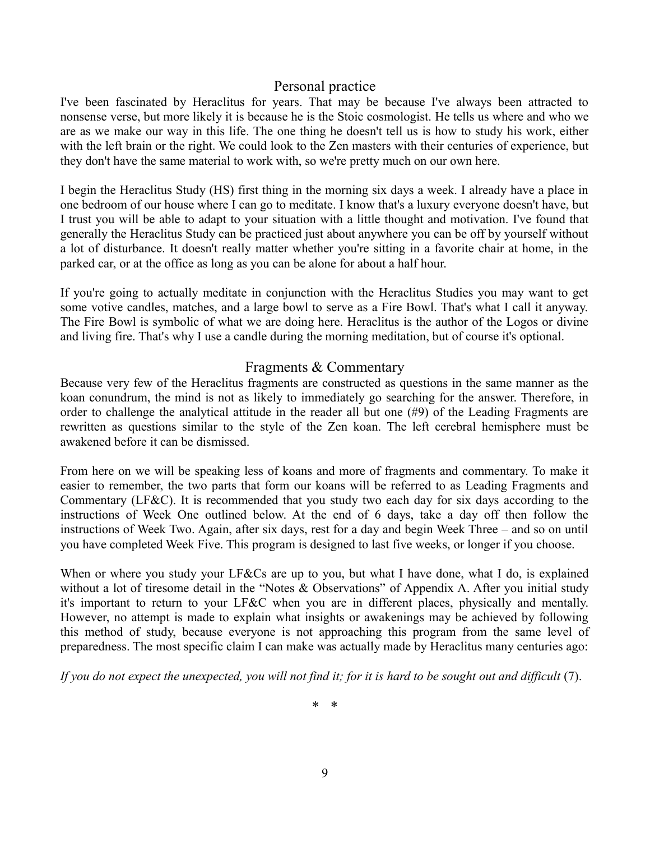#### Personal practice

I've been fascinated by Heraclitus for years. That may be because I've always been attracted to nonsense verse, but more likely it is because he is the Stoic cosmologist. He tells us where and who we are as we make our way in this life. The one thing he doesn't tell us is how to study his work, either with the left brain or the right. We could look to the Zen masters with their centuries of experience, but they don't have the same material to work with, so we're pretty much on our own here.

I begin the Heraclitus Study (HS) first thing in the morning six days a week. I already have a place in one bedroom of our house where I can go to meditate. I know that's a luxury everyone doesn't have, but I trust you will be able to adapt to your situation with a little thought and motivation. I've found that generally the Heraclitus Study can be practiced just about anywhere you can be off by yourself without a lot of disturbance. It doesn't really matter whether you're sitting in a favorite chair at home, in the parked car, or at the office as long as you can be alone for about a half hour.

If you're going to actually meditate in conjunction with the Heraclitus Studies you may want to get some votive candles, matches, and a large bowl to serve as a Fire Bowl. That's what I call it anyway. The Fire Bowl is symbolic of what we are doing here. Heraclitus is the author of the Logos or divine and living fire. That's why I use a candle during the morning meditation, but of course it's optional.

#### Fragments & Commentary

Because very few of the Heraclitus fragments are constructed as questions in the same manner as the koan conundrum, the mind is not as likely to immediately go searching for the answer. Therefore, in order to challenge the analytical attitude in the reader all but one (#9) of the Leading Fragments are rewritten as questions similar to the style of the Zen koan. The left cerebral hemisphere must be awakened before it can be dismissed.

From here on we will be speaking less of koans and more of fragments and commentary. To make it easier to remember, the two parts that form our koans will be referred to as Leading Fragments and Commentary (LF&C). It is recommended that you study two each day for six days according to the instructions of Week One outlined below. At the end of 6 days, take a day off then follow the instructions of Week Two. Again, after six days, rest for a day and begin Week Three – and so on until you have completed Week Five. This program is designed to last five weeks, or longer if you choose.

When or where you study your LF&Cs are up to you, but what I have done, what I do, is explained without a lot of tiresome detail in the "Notes & Observations" of Appendix A. After you initial study it's important to return to your LF&C when you are in different places, physically and mentally. However, no attempt is made to explain what insights or awakenings may be achieved by following this method of study, because everyone is not approaching this program from the same level of preparedness. The most specific claim I can make was actually made by Heraclitus many centuries ago:

*If you do not expect the unexpected, you will not find it; for it is hard to be sought out and difficult* (7).

\* \*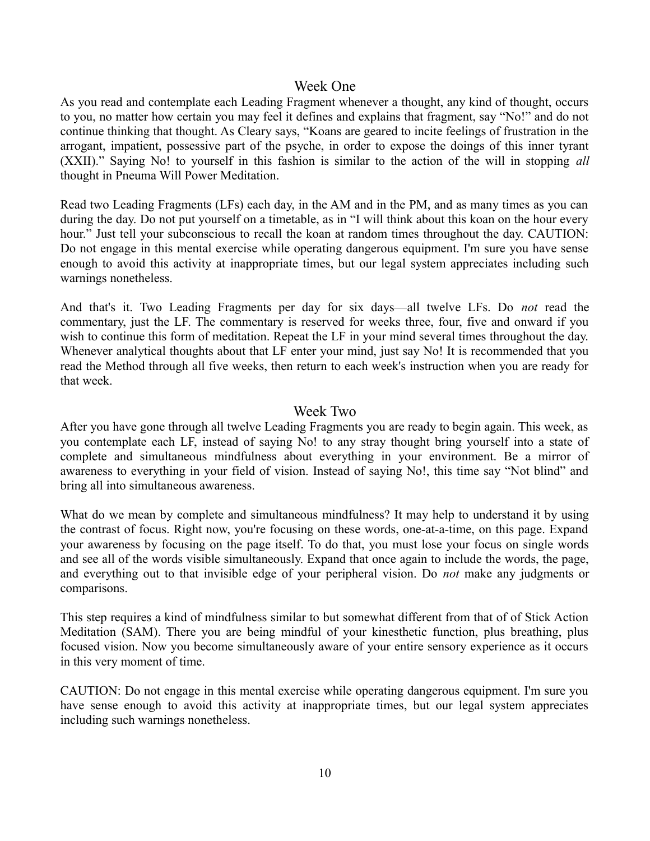#### Week One

As you read and contemplate each Leading Fragment whenever a thought, any kind of thought, occurs to you, no matter how certain you may feel it defines and explains that fragment, say "No!" and do not continue thinking that thought. As Cleary says, "Koans are geared to incite feelings of frustration in the arrogant, impatient, possessive part of the psyche, in order to expose the doings of this inner tyrant (XXII)." Saying No! to yourself in this fashion is similar to the action of the will in stopping *all* thought in Pneuma Will Power Meditation.

Read two Leading Fragments (LFs) each day, in the AM and in the PM, and as many times as you can during the day. Do not put yourself on a timetable, as in "I will think about this koan on the hour every hour." Just tell your subconscious to recall the koan at random times throughout the day. CAUTION: Do not engage in this mental exercise while operating dangerous equipment. I'm sure you have sense enough to avoid this activity at inappropriate times, but our legal system appreciates including such warnings nonetheless.

And that's it. Two Leading Fragments per day for six days—all twelve LFs. Do *not* read the commentary, just the LF. The commentary is reserved for weeks three, four, five and onward if you wish to continue this form of meditation. Repeat the LF in your mind several times throughout the day. Whenever analytical thoughts about that LF enter your mind, just say No! It is recommended that you read the Method through all five weeks, then return to each week's instruction when you are ready for that week.

#### Week Two

After you have gone through all twelve Leading Fragments you are ready to begin again. This week, as you contemplate each LF, instead of saying No! to any stray thought bring yourself into a state of complete and simultaneous mindfulness about everything in your environment. Be a mirror of awareness to everything in your field of vision. Instead of saying No!, this time say "Not blind" and bring all into simultaneous awareness.

What do we mean by complete and simultaneous mindfulness? It may help to understand it by using the contrast of focus. Right now, you're focusing on these words, one-at-a-time, on this page. Expand your awareness by focusing on the page itself. To do that, you must lose your focus on single words and see all of the words visible simultaneously. Expand that once again to include the words, the page, and everything out to that invisible edge of your peripheral vision. Do *not* make any judgments or comparisons.

This step requires a kind of mindfulness similar to but somewhat different from that of of Stick Action Meditation (SAM). There you are being mindful of your kinesthetic function, plus breathing, plus focused vision. Now you become simultaneously aware of your entire sensory experience as it occurs in this very moment of time.

CAUTION: Do not engage in this mental exercise while operating dangerous equipment. I'm sure you have sense enough to avoid this activity at inappropriate times, but our legal system appreciates including such warnings nonetheless.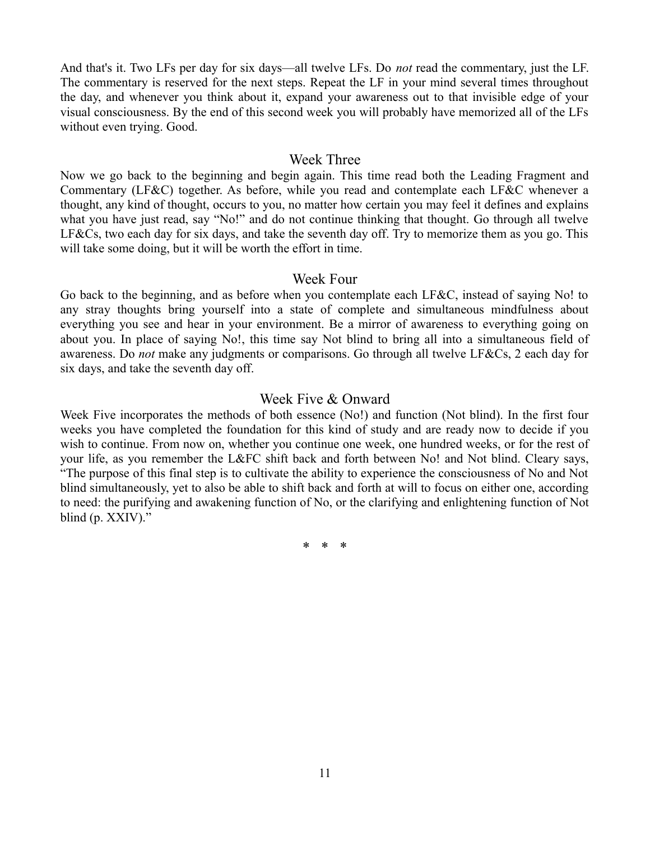And that's it. Two LFs per day for six days—all twelve LFs. Do *not* read the commentary, just the LF. The commentary is reserved for the next steps. Repeat the LF in your mind several times throughout the day, and whenever you think about it, expand your awareness out to that invisible edge of your visual consciousness. By the end of this second week you will probably have memorized all of the LFs without even trying. Good.

#### Week Three

Now we go back to the beginning and begin again. This time read both the Leading Fragment and Commentary (LF&C) together. As before, while you read and contemplate each LF&C whenever a thought, any kind of thought, occurs to you, no matter how certain you may feel it defines and explains what you have just read, say "No!" and do not continue thinking that thought. Go through all twelve LF&Cs, two each day for six days, and take the seventh day off. Try to memorize them as you go. This will take some doing, but it will be worth the effort in time.

#### Week Four

Go back to the beginning, and as before when you contemplate each LF&C, instead of saying No! to any stray thoughts bring yourself into a state of complete and simultaneous mindfulness about everything you see and hear in your environment. Be a mirror of awareness to everything going on about you. In place of saying No!, this time say Not blind to bring all into a simultaneous field of awareness. Do *not* make any judgments or comparisons. Go through all twelve LF&Cs, 2 each day for six days, and take the seventh day off.

#### Week Five & Onward

Week Five incorporates the methods of both essence (No!) and function (Not blind). In the first four weeks you have completed the foundation for this kind of study and are ready now to decide if you wish to continue. From now on, whether you continue one week, one hundred weeks, or for the rest of your life, as you remember the L&FC shift back and forth between No! and Not blind. Cleary says, "The purpose of this final step is to cultivate the ability to experience the consciousness of No and Not blind simultaneously, yet to also be able to shift back and forth at will to focus on either one, according to need: the purifying and awakening function of No, or the clarifying and enlightening function of Not blind (p. XXIV)."

\* \* \*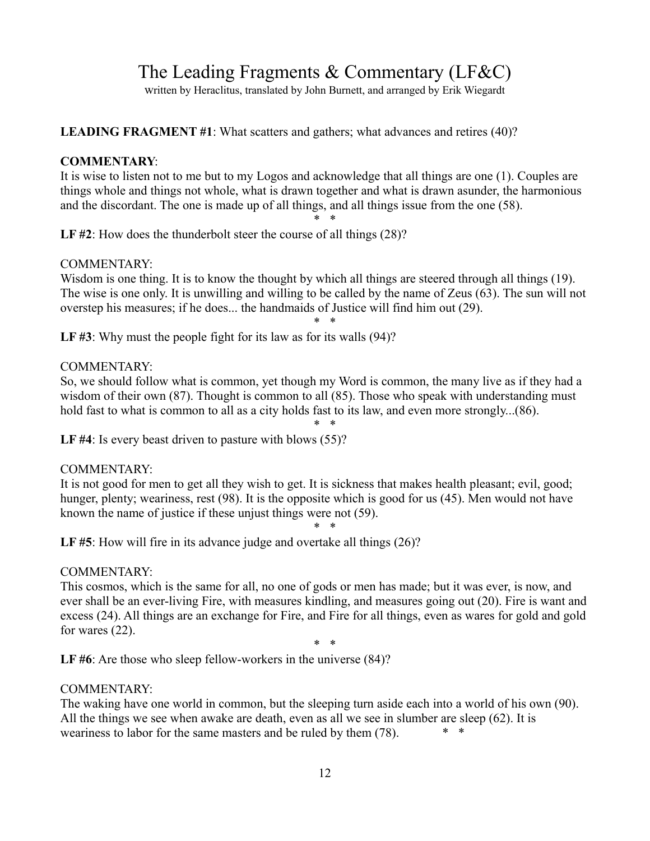# The Leading Fragments & Commentary (LF&C)

written by Heraclitus, translated by John Burnett, and arranged by Erik Wiegardt

**LEADING FRAGMENT #1**: What scatters and gathers; what advances and retires (40)?

#### **COMMENTARY**:

It is wise to listen not to me but to my Logos and acknowledge that all things are one (1). Couples are things whole and things not whole, what is drawn together and what is drawn asunder, the harmonious and the discordant. The one is made up of all things, and all things issue from the one (58). \* \*

LF #2: How does the thunderbolt steer the course of all things (28)?

#### COMMENTARY:

Wisdom is one thing. It is to know the thought by which all things are steered through all things (19). The wise is one only. It is unwilling and willing to be called by the name of Zeus (63). The sun will not overstep his measures; if he does... the handmaids of Justice will find him out (29).

\* \*

LF #3: Why must the people fight for its law as for its walls (94)?

#### COMMENTARY:

So, we should follow what is common, yet though my Word is common, the many live as if they had a wisdom of their own (87). Thought is common to all (85). Those who speak with understanding must hold fast to what is common to all as a city holds fast to its law, and even more strongly...(86).

\* \* LF #4: Is every beast driven to pasture with blows (55)?

#### COMMENTARY:

It is not good for men to get all they wish to get. It is sickness that makes health pleasant; evil, good; hunger, plenty; weariness, rest (98). It is the opposite which is good for us (45). Men would not have known the name of justice if these unjust things were not (59).

\* \*

LF #5: How will fire in its advance judge and overtake all things (26)?

#### COMMENTARY:

This cosmos, which is the same for all, no one of gods or men has made; but it was ever, is now, and ever shall be an ever-living Fire, with measures kindling, and measures going out (20). Fire is want and excess (24). All things are an exchange for Fire, and Fire for all things, even as wares for gold and gold for wares (22).

\* \* LF #6: Are those who sleep fellow-workers in the universe  $(84)$ ?

#### COMMENTARY:

The waking have one world in common, but the sleeping turn aside each into a world of his own (90). All the things we see when awake are death, even as all we see in slumber are sleep (62). It is weariness to labor for the same masters and be ruled by them (78).  $* *$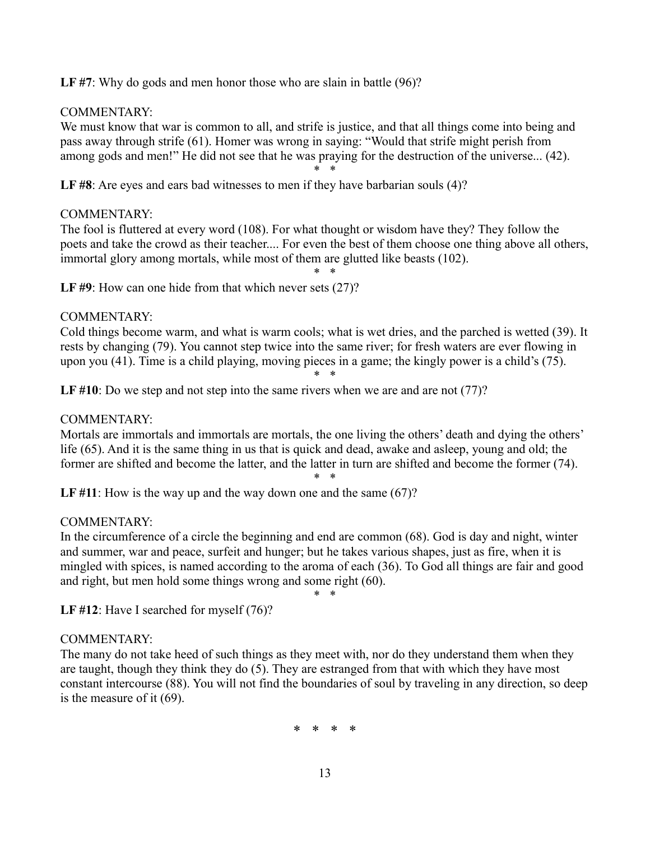LF #7: Why do gods and men honor those who are slain in battle (96)?

#### COMMENTARY:

We must know that war is common to all, and strife is justice, and that all things come into being and pass away through strife (61). Homer was wrong in saying: "Would that strife might perish from among gods and men!" He did not see that he was praying for the destruction of the universe... (42).

\* \*

LF #8: Are eyes and ears bad witnesses to men if they have barbarian souls (4)?

#### COMMENTARY:

The fool is fluttered at every word (108). For what thought or wisdom have they? They follow the poets and take the crowd as their teacher.... For even the best of them choose one thing above all others, immortal glory among mortals, while most of them are glutted like beasts (102).

\* \*

LF #9: How can one hide from that which never sets (27)?

#### COMMENTARY:

Cold things become warm, and what is warm cools; what is wet dries, and the parched is wetted (39). It rests by changing (79). You cannot step twice into the same river; for fresh waters are ever flowing in upon you (41). Time is a child playing, moving pieces in a game; the kingly power is a child's (75). \* \*

LF #10: Do we step and not step into the same rivers when we are and are not (77)?

#### COMMENTARY:

Mortals are immortals and immortals are mortals, the one living the others' death and dying the others' life (65). And it is the same thing in us that is quick and dead, awake and asleep, young and old; the former are shifted and become the latter, and the latter in turn are shifted and become the former (74).

\* \*

LF #11: How is the way up and the way down one and the same (67)?

#### COMMENTARY:

In the circumference of a circle the beginning and end are common (68). God is day and night, winter and summer, war and peace, surfeit and hunger; but he takes various shapes, just as fire, when it is mingled with spices, is named according to the aroma of each (36). To God all things are fair and good and right, but men hold some things wrong and some right (60).

\* \*

LF #12: Have I searched for myself (76)?

#### COMMENTARY:

The many do not take heed of such things as they meet with, nor do they understand them when they are taught, though they think they do (5). They are estranged from that with which they have most constant intercourse (88). You will not find the boundaries of soul by traveling in any direction, so deep is the measure of it (69).

\* \* \* \*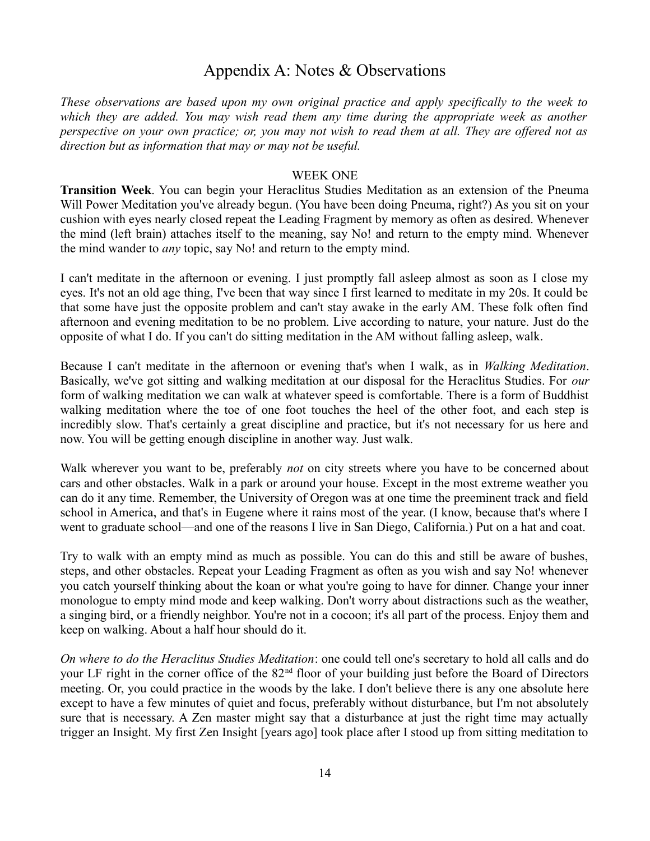#### Appendix A: Notes & Observations

*These observations are based upon my own original practice and apply specifically to the week to which they are added. You may wish read them any time during the appropriate week as another perspective on your own practice; or, you may not wish to read them at all. They are offered not as direction but as information that may or may not be useful.* 

#### WEEK ONE

**Transition Week**. You can begin your Heraclitus Studies Meditation as an extension of the Pneuma Will Power Meditation you've already begun. (You have been doing Pneuma, right?) As you sit on your cushion with eyes nearly closed repeat the Leading Fragment by memory as often as desired. Whenever the mind (left brain) attaches itself to the meaning, say No! and return to the empty mind. Whenever the mind wander to *any* topic, say No! and return to the empty mind.

I can't meditate in the afternoon or evening. I just promptly fall asleep almost as soon as I close my eyes. It's not an old age thing, I've been that way since I first learned to meditate in my 20s. It could be that some have just the opposite problem and can't stay awake in the early AM. These folk often find afternoon and evening meditation to be no problem. Live according to nature, your nature. Just do the opposite of what I do. If you can't do sitting meditation in the AM without falling asleep, walk.

Because I can't meditate in the afternoon or evening that's when I walk, as in *Walking Meditation*. Basically, we've got sitting and walking meditation at our disposal for the Heraclitus Studies. For *our* form of walking meditation we can walk at whatever speed is comfortable. There is a form of Buddhist walking meditation where the toe of one foot touches the heel of the other foot, and each step is incredibly slow. That's certainly a great discipline and practice, but it's not necessary for us here and now. You will be getting enough discipline in another way. Just walk.

Walk wherever you want to be, preferably *not* on city streets where you have to be concerned about cars and other obstacles. Walk in a park or around your house. Except in the most extreme weather you can do it any time. Remember, the University of Oregon was at one time the preeminent track and field school in America, and that's in Eugene where it rains most of the year. (I know, because that's where I went to graduate school—and one of the reasons I live in San Diego, California.) Put on a hat and coat.

Try to walk with an empty mind as much as possible. You can do this and still be aware of bushes, steps, and other obstacles. Repeat your Leading Fragment as often as you wish and say No! whenever you catch yourself thinking about the koan or what you're going to have for dinner. Change your inner monologue to empty mind mode and keep walking. Don't worry about distractions such as the weather, a singing bird, or a friendly neighbor. You're not in a cocoon; it's all part of the process. Enjoy them and keep on walking. About a half hour should do it.

*On where to do the Heraclitus Studies Meditation*: one could tell one's secretary to hold all calls and do your LF right in the corner office of the 82nd floor of your building just before the Board of Directors meeting. Or, you could practice in the woods by the lake. I don't believe there is any one absolute here except to have a few minutes of quiet and focus, preferably without disturbance, but I'm not absolutely sure that is necessary. A Zen master might say that a disturbance at just the right time may actually trigger an Insight. My first Zen Insight [years ago] took place after I stood up from sitting meditation to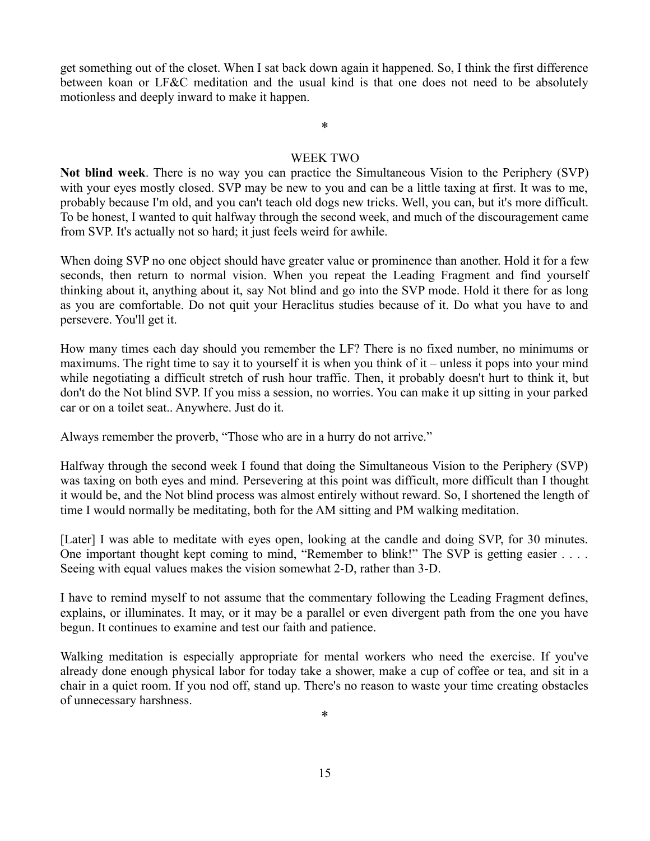get something out of the closet. When I sat back down again it happened. So, I think the first difference between koan or LF&C meditation and the usual kind is that one does not need to be absolutely motionless and deeply inward to make it happen.

#### \*

#### WEEK TWO

**Not blind week**. There is no way you can practice the Simultaneous Vision to the Periphery (SVP) with your eyes mostly closed. SVP may be new to you and can be a little taxing at first. It was to me, probably because I'm old, and you can't teach old dogs new tricks. Well, you can, but it's more difficult. To be honest, I wanted to quit halfway through the second week, and much of the discouragement came from SVP. It's actually not so hard; it just feels weird for awhile.

When doing SVP no one object should have greater value or prominence than another. Hold it for a few seconds, then return to normal vision. When you repeat the Leading Fragment and find yourself thinking about it, anything about it, say Not blind and go into the SVP mode. Hold it there for as long as you are comfortable. Do not quit your Heraclitus studies because of it. Do what you have to and persevere. You'll get it.

How many times each day should you remember the LF? There is no fixed number, no minimums or maximums. The right time to say it to yourself it is when you think of it – unless it pops into your mind while negotiating a difficult stretch of rush hour traffic. Then, it probably doesn't hurt to think it, but don't do the Not blind SVP. If you miss a session, no worries. You can make it up sitting in your parked car or on a toilet seat.. Anywhere. Just do it.

Always remember the proverb, "Those who are in a hurry do not arrive."

Halfway through the second week I found that doing the Simultaneous Vision to the Periphery (SVP) was taxing on both eyes and mind. Persevering at this point was difficult, more difficult than I thought it would be, and the Not blind process was almost entirely without reward. So, I shortened the length of time I would normally be meditating, both for the AM sitting and PM walking meditation.

[Later] I was able to meditate with eyes open, looking at the candle and doing SVP, for 30 minutes. One important thought kept coming to mind, "Remember to blink!" The SVP is getting easier . . . . Seeing with equal values makes the vision somewhat 2-D, rather than 3-D.

I have to remind myself to not assume that the commentary following the Leading Fragment defines, explains, or illuminates. It may, or it may be a parallel or even divergent path from the one you have begun. It continues to examine and test our faith and patience.

Walking meditation is especially appropriate for mental workers who need the exercise. If you've already done enough physical labor for today take a shower, make a cup of coffee or tea, and sit in a chair in a quiet room. If you nod off, stand up. There's no reason to waste your time creating obstacles of unnecessary harshness.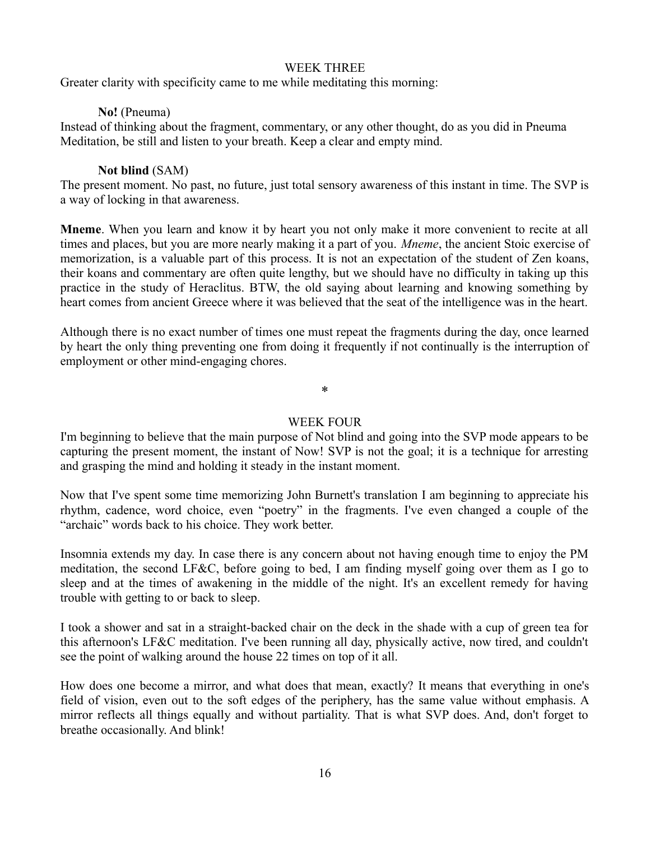#### WEEK THREE

Greater clarity with specificity came to me while meditating this morning:

#### **No!** (Pneuma)

Instead of thinking about the fragment, commentary, or any other thought, do as you did in Pneuma Meditation, be still and listen to your breath. Keep a clear and empty mind.

#### **Not blind** (SAM)

The present moment. No past, no future, just total sensory awareness of this instant in time. The SVP is a way of locking in that awareness.

**Mneme**. When you learn and know it by heart you not only make it more convenient to recite at all times and places, but you are more nearly making it a part of you. *Mneme*, the ancient Stoic exercise of memorization, is a valuable part of this process. It is not an expectation of the student of Zen koans, their koans and commentary are often quite lengthy, but we should have no difficulty in taking up this practice in the study of Heraclitus. BTW, the old saying about learning and knowing something by heart comes from ancient Greece where it was believed that the seat of the intelligence was in the heart.

Although there is no exact number of times one must repeat the fragments during the day, once learned by heart the only thing preventing one from doing it frequently if not continually is the interruption of employment or other mind-engaging chores.

\*

#### WEEK FOUR

I'm beginning to believe that the main purpose of Not blind and going into the SVP mode appears to be capturing the present moment, the instant of Now! SVP is not the goal; it is a technique for arresting and grasping the mind and holding it steady in the instant moment.

Now that I've spent some time memorizing John Burnett's translation I am beginning to appreciate his rhythm, cadence, word choice, even "poetry" in the fragments. I've even changed a couple of the "archaic" words back to his choice. They work better.

Insomnia extends my day. In case there is any concern about not having enough time to enjoy the PM meditation, the second LF&C, before going to bed, I am finding myself going over them as I go to sleep and at the times of awakening in the middle of the night. It's an excellent remedy for having trouble with getting to or back to sleep.

I took a shower and sat in a straight-backed chair on the deck in the shade with a cup of green tea for this afternoon's LF&C meditation. I've been running all day, physically active, now tired, and couldn't see the point of walking around the house 22 times on top of it all.

How does one become a mirror, and what does that mean, exactly? It means that everything in one's field of vision, even out to the soft edges of the periphery, has the same value without emphasis. A mirror reflects all things equally and without partiality. That is what SVP does. And, don't forget to breathe occasionally. And blink!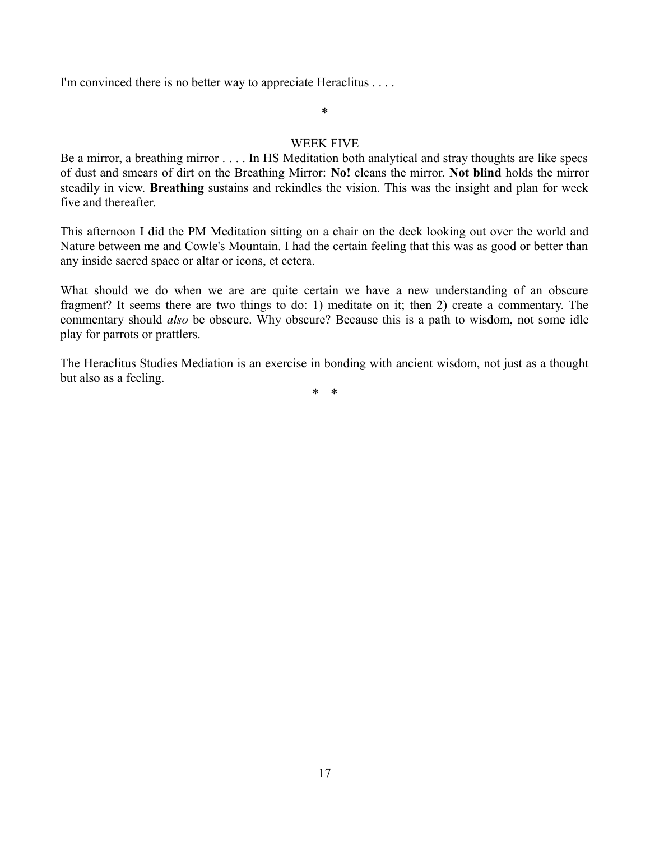I'm convinced there is no better way to appreciate Heraclitus . . . .

#### \*

#### WEEK FIVE

Be a mirror, a breathing mirror . . . . In HS Meditation both analytical and stray thoughts are like specs of dust and smears of dirt on the Breathing Mirror: **No!** cleans the mirror. **Not blind** holds the mirror steadily in view. **Breathing** sustains and rekindles the vision. This was the insight and plan for week five and thereafter.

This afternoon I did the PM Meditation sitting on a chair on the deck looking out over the world and Nature between me and Cowle's Mountain. I had the certain feeling that this was as good or better than any inside sacred space or altar or icons, et cetera.

What should we do when we are are quite certain we have a new understanding of an obscure fragment? It seems there are two things to do: 1) meditate on it; then 2) create a commentary. The commentary should *also* be obscure. Why obscure? Because this is a path to wisdom, not some idle play for parrots or prattlers.

The Heraclitus Studies Mediation is an exercise in bonding with ancient wisdom, not just as a thought but also as a feeling.

\* \*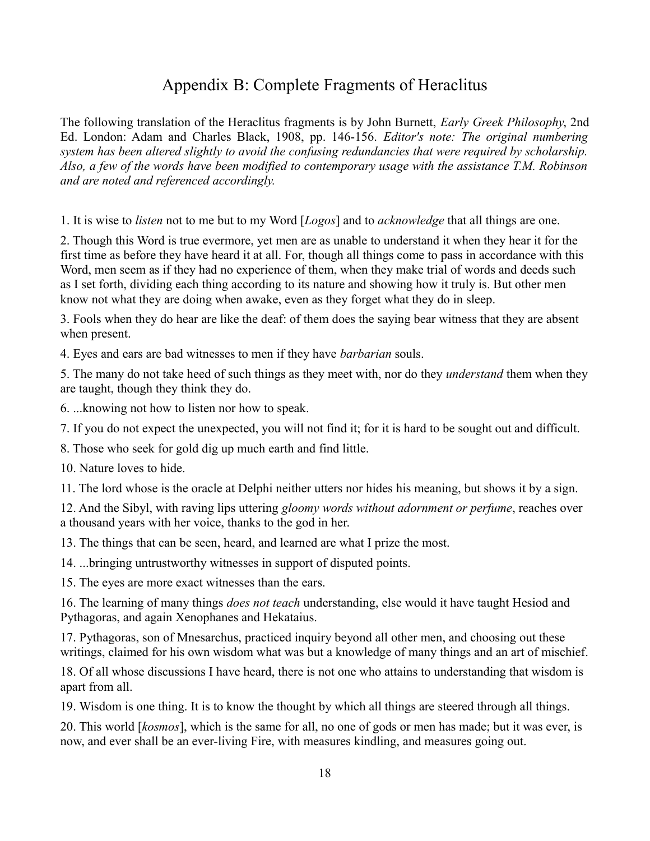### Appendix B: Complete Fragments of Heraclitus

The following translation of the Heraclitus fragments is by John Burnett, *Early Greek Philosophy*, 2nd Ed. London: Adam and Charles Black, 1908, pp. 146-156. *Editor's note: The original numbering system has been altered slightly to avoid the confusing redundancies that were required by scholarship. Also, a few of the words have been modified to contemporary usage with the assistance T.M. Robinson and are noted and referenced accordingly.*

1. It is wise to *listen* not to me but to my Word [*Logos*] and to *acknowledge* that all things are one.

2. Though this Word is true evermore, yet men are as unable to understand it when they hear it for the first time as before they have heard it at all. For, though all things come to pass in accordance with this Word, men seem as if they had no experience of them, when they make trial of words and deeds such as I set forth, dividing each thing according to its nature and showing how it truly is. But other men know not what they are doing when awake, even as they forget what they do in sleep.

3. Fools when they do hear are like the deaf: of them does the saying bear witness that they are absent when present.

4. Eyes and ears are bad witnesses to men if they have *barbarian* souls.

5. The many do not take heed of such things as they meet with, nor do they *understand* them when they are taught, though they think they do.

6. ...knowing not how to listen nor how to speak.

7. If you do not expect the unexpected, you will not find it; for it is hard to be sought out and difficult.

8. Those who seek for gold dig up much earth and find little.

10. Nature loves to hide.

11. The lord whose is the oracle at Delphi neither utters nor hides his meaning, but shows it by a sign.

12. And the Sibyl, with raving lips uttering *gloomy words without adornment or perfume*, reaches over a thousand years with her voice, thanks to the god in her.

13. The things that can be seen, heard, and learned are what I prize the most.

14. ...bringing untrustworthy witnesses in support of disputed points.

15. The eyes are more exact witnesses than the ears.

16. The learning of many things *does not teach* understanding, else would it have taught Hesiod and Pythagoras, and again Xenophanes and Hekataius.

17. Pythagoras, son of Mnesarchus, practiced inquiry beyond all other men, and choosing out these writings, claimed for his own wisdom what was but a knowledge of many things and an art of mischief.

18. Of all whose discussions I have heard, there is not one who attains to understanding that wisdom is apart from all.

19. Wisdom is one thing. It is to know the thought by which all things are steered through all things.

20. This world [*kosmos*], which is the same for all, no one of gods or men has made; but it was ever, is now, and ever shall be an ever-living Fire, with measures kindling, and measures going out.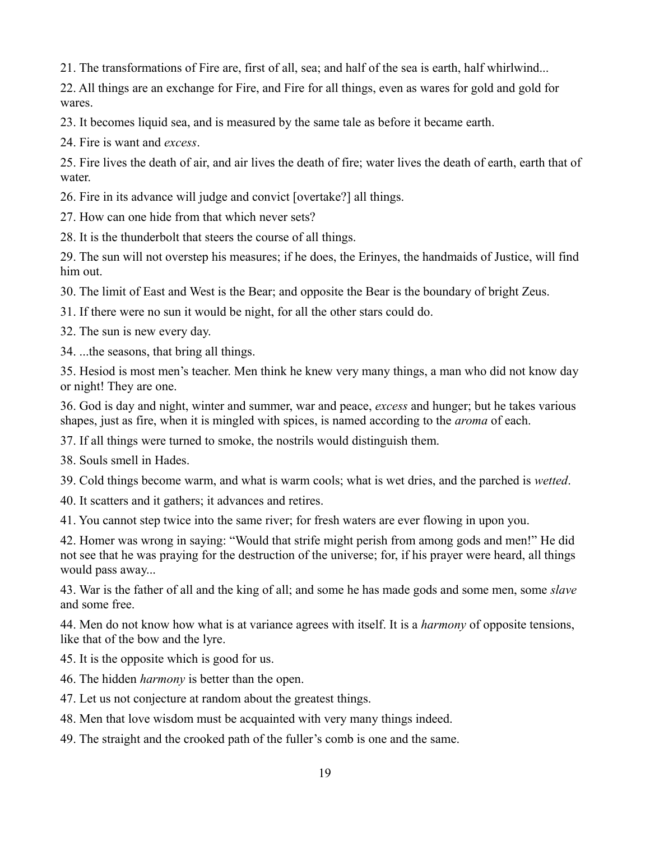21. The transformations of Fire are, first of all, sea; and half of the sea is earth, half whirlwind...

22. All things are an exchange for Fire, and Fire for all things, even as wares for gold and gold for wares.

23. It becomes liquid sea, and is measured by the same tale as before it became earth.

24. Fire is want and *excess*.

25. Fire lives the death of air, and air lives the death of fire; water lives the death of earth, earth that of water.

26. Fire in its advance will judge and convict [overtake?] all things.

27. How can one hide from that which never sets?

28. It is the thunderbolt that steers the course of all things.

29. The sun will not overstep his measures; if he does, the Erinyes, the handmaids of Justice, will find him out.

30. The limit of East and West is the Bear; and opposite the Bear is the boundary of bright Zeus.

31. If there were no sun it would be night, for all the other stars could do.

32. The sun is new every day.

34. ...the seasons, that bring all things.

35. Hesiod is most men's teacher. Men think he knew very many things, a man who did not know day or night! They are one.

36. God is day and night, winter and summer, war and peace, *excess* and hunger; but he takes various shapes, just as fire, when it is mingled with spices, is named according to the *aroma* of each.

37. If all things were turned to smoke, the nostrils would distinguish them.

38. Souls smell in Hades.

39. Cold things become warm, and what is warm cools; what is wet dries, and the parched is *wetted*.

40. It scatters and it gathers; it advances and retires.

41. You cannot step twice into the same river; for fresh waters are ever flowing in upon you.

42. Homer was wrong in saying: "Would that strife might perish from among gods and men!" He did not see that he was praying for the destruction of the universe; for, if his prayer were heard, all things would pass away...

43. War is the father of all and the king of all; and some he has made gods and some men, some *slave* and some free.

44. Men do not know how what is at variance agrees with itself. It is a *harmony* of opposite tensions, like that of the bow and the lyre.

45. It is the opposite which is good for us.

46. The hidden *harmony* is better than the open.

47. Let us not conjecture at random about the greatest things.

48. Men that love wisdom must be acquainted with very many things indeed.

49. The straight and the crooked path of the fuller's comb is one and the same.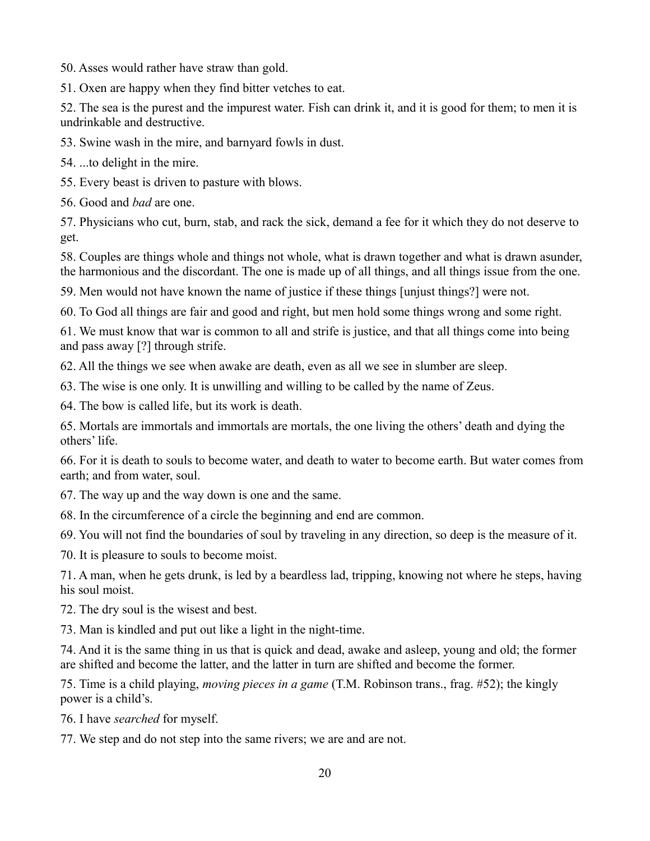50. Asses would rather have straw than gold.

51. Oxen are happy when they find bitter vetches to eat.

52. The sea is the purest and the impurest water. Fish can drink it, and it is good for them; to men it is undrinkable and destructive.

53. Swine wash in the mire, and barnyard fowls in dust.

54. ...to delight in the mire.

55. Every beast is driven to pasture with blows.

56. Good and *bad* are one.

57. Physicians who cut, burn, stab, and rack the sick, demand a fee for it which they do not deserve to get.

58. Couples are things whole and things not whole, what is drawn together and what is drawn asunder, the harmonious and the discordant. The one is made up of all things, and all things issue from the one.

59. Men would not have known the name of justice if these things [unjust things?] were not.

60. To God all things are fair and good and right, but men hold some things wrong and some right.

61. We must know that war is common to all and strife is justice, and that all things come into being and pass away [?] through strife.

62. All the things we see when awake are death, even as all we see in slumber are sleep.

63. The wise is one only. It is unwilling and willing to be called by the name of Zeus.

64. The bow is called life, but its work is death.

65. Mortals are immortals and immortals are mortals, the one living the others' death and dying the others' life.

66. For it is death to souls to become water, and death to water to become earth. But water comes from earth; and from water, soul.

67. The way up and the way down is one and the same.

68. In the circumference of a circle the beginning and end are common.

69. You will not find the boundaries of soul by traveling in any direction, so deep is the measure of it.

70. It is pleasure to souls to become moist.

71. A man, when he gets drunk, is led by a beardless lad, tripping, knowing not where he steps, having his soul moist.

72. The dry soul is the wisest and best.

73. Man is kindled and put out like a light in the night-time.

74. And it is the same thing in us that is quick and dead, awake and asleep, young and old; the former are shifted and become the latter, and the latter in turn are shifted and become the former.

75. Time is a child playing, *moving pieces in a game* (T.M. Robinson trans., frag. #52); the kingly power is a child's.

76. I have *searched* for myself.

77. We step and do not step into the same rivers; we are and are not.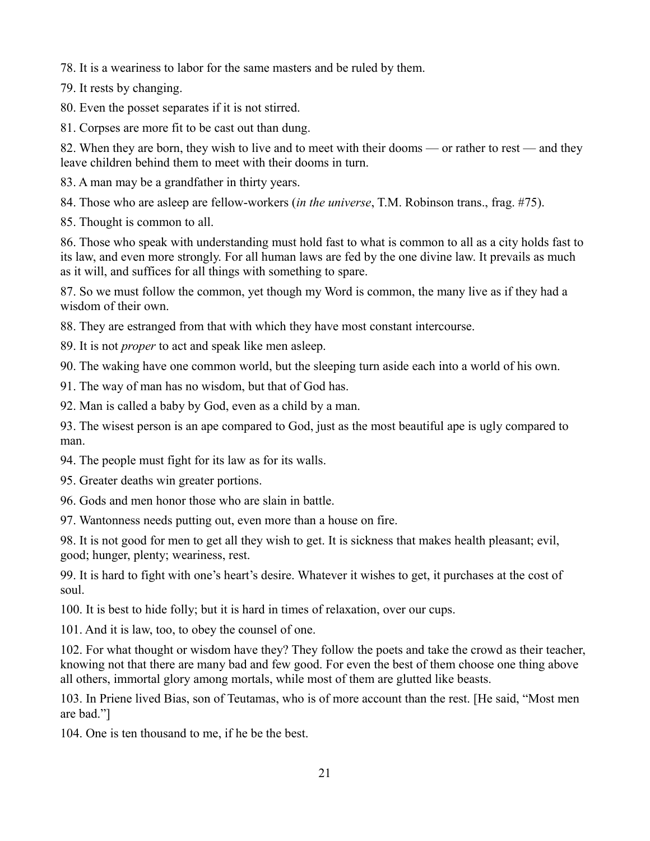78. It is a weariness to labor for the same masters and be ruled by them.

79. It rests by changing.

80. Even the posset separates if it is not stirred.

81. Corpses are more fit to be cast out than dung.

82. When they are born, they wish to live and to meet with their dooms — or rather to rest — and they leave children behind them to meet with their dooms in turn.

83. A man may be a grandfather in thirty years.

84. Those who are asleep are fellow-workers (*in the universe*, T.M. Robinson trans., frag. #75).

85. Thought is common to all.

86. Those who speak with understanding must hold fast to what is common to all as a city holds fast to its law, and even more strongly. For all human laws are fed by the one divine law. It prevails as much as it will, and suffices for all things with something to spare.

87. So we must follow the common, yet though my Word is common, the many live as if they had a wisdom of their own.

88. They are estranged from that with which they have most constant intercourse.

89. It is not *proper* to act and speak like men asleep.

90. The waking have one common world, but the sleeping turn aside each into a world of his own.

91. The way of man has no wisdom, but that of God has.

92. Man is called a baby by God, even as a child by a man.

93. The wisest person is an ape compared to God, just as the most beautiful ape is ugly compared to man.

94. The people must fight for its law as for its walls.

95. Greater deaths win greater portions.

96. Gods and men honor those who are slain in battle.

97. Wantonness needs putting out, even more than a house on fire.

98. It is not good for men to get all they wish to get. It is sickness that makes health pleasant; evil, good; hunger, plenty; weariness, rest.

99. It is hard to fight with one's heart's desire. Whatever it wishes to get, it purchases at the cost of soul.

100. It is best to hide folly; but it is hard in times of relaxation, over our cups.

101. And it is law, too, to obey the counsel of one.

102. For what thought or wisdom have they? They follow the poets and take the crowd as their teacher, knowing not that there are many bad and few good. For even the best of them choose one thing above all others, immortal glory among mortals, while most of them are glutted like beasts.

103. In Priene lived Bias, son of Teutamas, who is of more account than the rest. [He said, "Most men are bad."]

104. One is ten thousand to me, if he be the best.